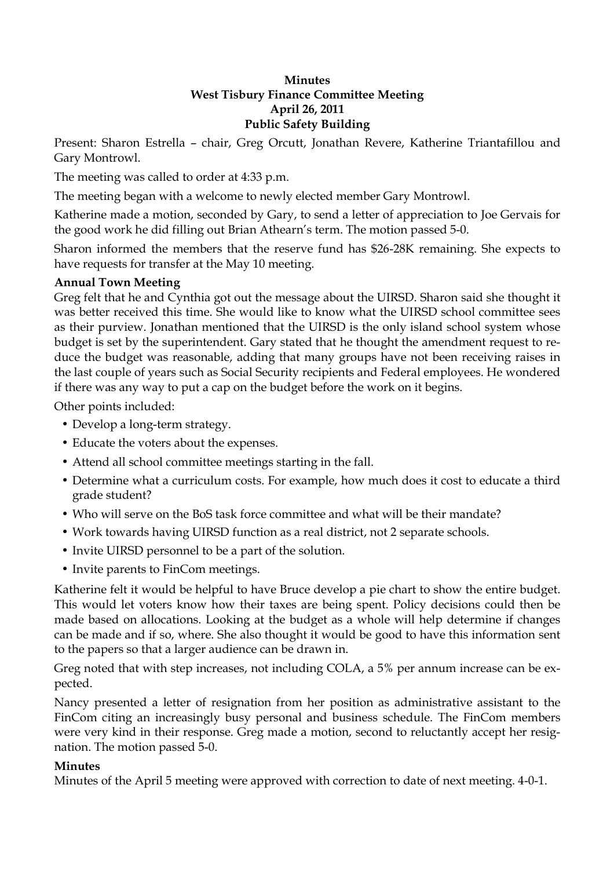## **Minutes West Tisbury Finance Committee Meeting April 26, 2011 Public Safety Building**

Present: Sharon Estrella – chair, Greg Orcutt, Jonathan Revere, Katherine Triantafillou and Gary Montrowl.

The meeting was called to order at 4:33 p.m.

The meeting began with a welcome to newly elected member Gary Montrowl.

Katherine made a motion, seconded by Gary, to send a letter of appreciation to Joe Gervais for the good work he did filling out Brian Athearn's term. The motion passed 5-0.

Sharon informed the members that the reserve fund has \$26-28K remaining. She expects to have requests for transfer at the May 10 meeting.

## **Annual Town Meeting**

Greg felt that he and Cynthia got out the message about the UIRSD. Sharon said she thought it was better received this time. She would like to know what the UIRSD school committee sees as their purview. Jonathan mentioned that the UIRSD is the only island school system whose budget is set by the superintendent. Gary stated that he thought the amendment request to reduce the budget was reasonable, adding that many groups have not been receiving raises in the last couple of years such as Social Security recipients and Federal employees. He wondered if there was any way to put a cap on the budget before the work on it begins.

Other points included:

- Develop a long-term strategy.
- Educate the voters about the expenses.
- Attend all school committee meetings starting in the fall.
- Determine what a curriculum costs. For example, how much does it cost to educate a third grade student?
- Who will serve on the BoS task force committee and what will be their mandate?
- Work towards having UIRSD function as a real district, not 2 separate schools.
- Invite UIRSD personnel to be a part of the solution.
- Invite parents to FinCom meetings.

Katherine felt it would be helpful to have Bruce develop a pie chart to show the entire budget. This would let voters know how their taxes are being spent. Policy decisions could then be made based on allocations. Looking at the budget as a whole will help determine if changes can be made and if so, where. She also thought it would be good to have this information sent to the papers so that a larger audience can be drawn in.

Greg noted that with step increases, not including COLA, a 5% per annum increase can be expected.

Nancy presented a letter of resignation from her position as administrative assistant to the FinCom citing an increasingly busy personal and business schedule. The FinCom members were very kind in their response. Greg made a motion, second to reluctantly accept her resignation. The motion passed 5-0.

## **Minutes**

Minutes of the April 5 meeting were approved with correction to date of next meeting. 4-0-1.